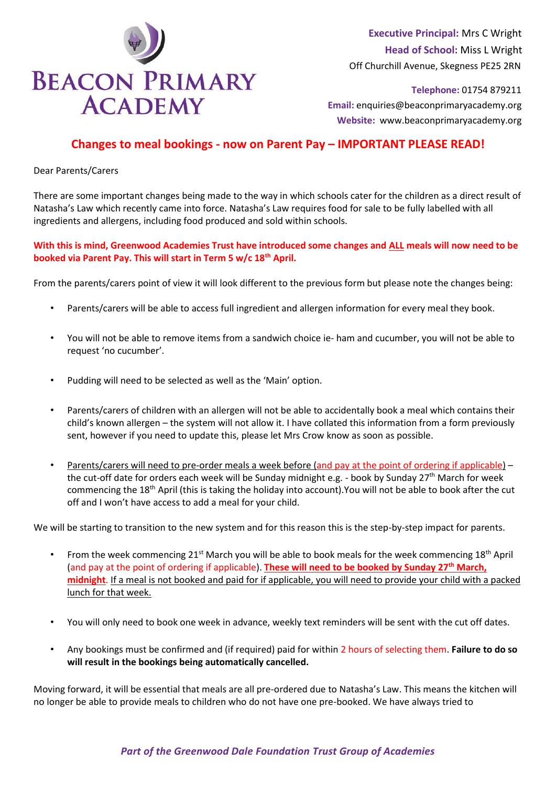

 **Executive Principal:** Mrs C Wright  **Head of School:** Miss L Wright Off Churchill Avenue, Skegness PE25 2RN

 **Email:** enquiries@beaconprimaryacademy.org  **Website:** www.beaconprimaryacademy.org

## **Changes to meal bookings - now on Parent Pay – IMPORTANT PLEASE READ!**

Dear Parents/Carers

There are some important changes being made to the way in which schools cater for the children as a direct result of Natasha's Law which recently came into force. Natasha's Law requires food for sale to be fully labelled with all ingredients and allergens, including food produced and sold within schools.

## **With this is mind, Greenwood Academies Trust have introduced some changes and ALL meals will now need to be booked via Parent Pay. This will start in Term 5 w/c 18th April.**

From the parents/carers point of view it will look different to the previous form but please note the changes being:

- Parents/carers will be able to access full ingredient and allergen information for every meal they book.
- You will not be able to remove items from a sandwich choice ie- ham and cucumber, you will not be able to request 'no cucumber'.
- Pudding will need to be selected as well as the 'Main' option.
- Parents/carers of children with an allergen will not be able to accidentally book a meal which contains their child's known allergen – the system will not allow it. I have collated this information from a form previously sent, however if you need to update this, please let Mrs Crow know as soon as possible.
- Parents/carers will need to pre-order meals a week before (and pay at the point of ordering if applicable) the cut-off date for orders each week will be Sunday midnight e.g. - book by Sunday 27<sup>th</sup> March for week commencing the 18th April (this is taking the holiday into account).You will not be able to book after the cut off and I won't have access to add a meal for your child.

We will be starting to transition to the new system and for this reason this is the step-by-step impact for parents.

- From the week commencing 21st March you will be able to book meals for the week commencing 18th April (and pay at the point of ordering if applicable). **These will need to be booked by Sunday 27th March, midnight**. If a meal is not booked and paid for if applicable, you will need to provide your child with a packed lunch for that week.
- You will only need to book one week in advance, weekly text reminders will be sent with the cut off dates.
- Any bookings must be confirmed and (if required) paid for within 2 hours of selecting them. **Failure to do so will result in the bookings being automatically cancelled.**

Moving forward, it will be essential that meals are all pre-ordered due to Natasha's Law. This means the kitchen will no longer be able to provide meals to children who do not have one pre-booked. We have always tried to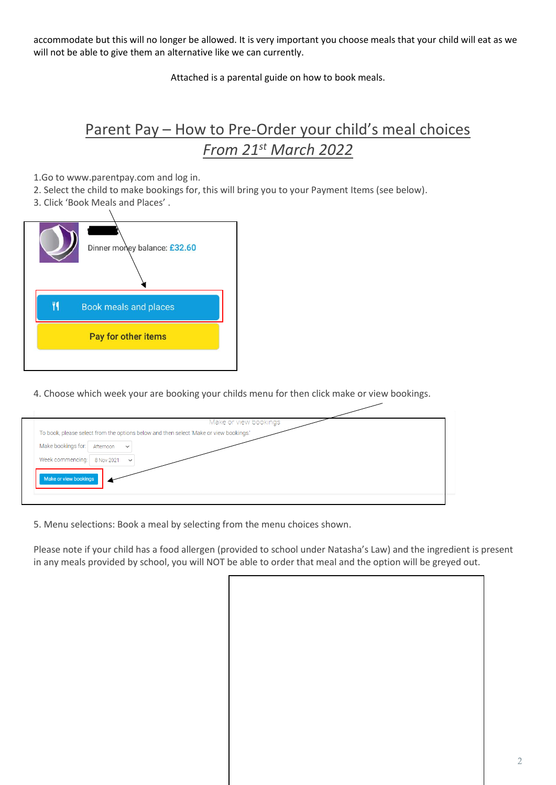accommodate but this will no longer be allowed. It is very important you choose meals that your child will eat as we will not be able to give them an alternative like we can currently.

Attached is a parental guide on how to book meals.

## Parent Pay – How to Pre-Order your child's meal choices *From 21st March 2022*

1.Go to www.parentpay.com and log in.

- 2. Select the child to make bookings for, this will bring you to your Payment Items (see below).
- 3. Click 'Book Meals and Places' .



4. Choose which week your are booking your childs menu for then click make or view bookings.



5. Menu selections: Book a meal by selecting from the menu choices shown.

Please note if your child has a food allergen (provided to school under Natasha's Law) and the ingredient is present in any meals provided by school, you will NOT be able to order that meal and the option will be greyed out.

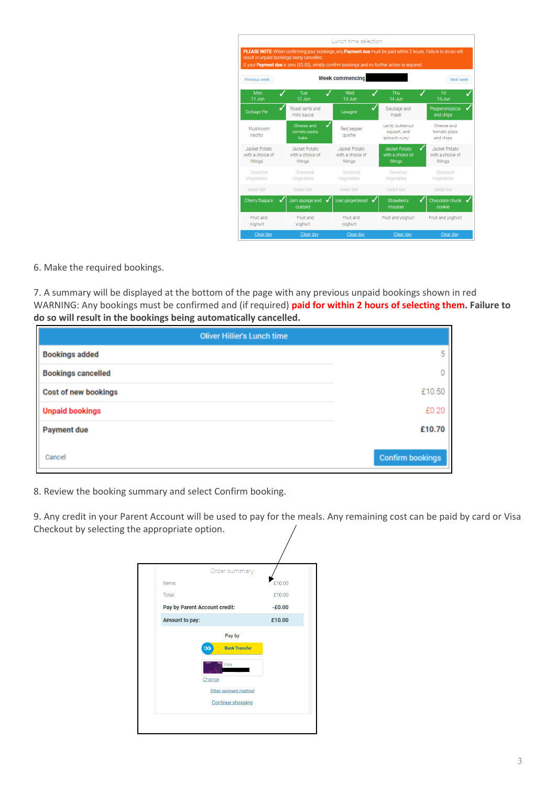|                                               |                                               | Lunch time selection                                 |                                                                                                                                                                                                                   |                                               |
|-----------------------------------------------|-----------------------------------------------|------------------------------------------------------|-------------------------------------------------------------------------------------------------------------------------------------------------------------------------------------------------------------------|-----------------------------------------------|
|                                               | result in unpaid bookings being cancelled.    |                                                      | PLEASE NOTE: When confirming your bookings, any Payment due must be paid within 2 hours. Failure to do so will<br>If your Payment due is zero (£0.00), simply confirm bookings and no further action is required. |                                               |
| Previous week                                 |                                               | <b>Week commencing</b>                               |                                                                                                                                                                                                                   | Next week                                     |
| Mon<br>11 Jun                                 | Tue<br>12 Jun                                 | Wed<br>13 Jun                                        | Thu<br>14 Jun                                                                                                                                                                                                     | Fri<br>15 Jun                                 |
| ✓<br><b>Cottage Pie</b>                       | Roast lamb and<br>mint sauce                  | Lasagne                                              | Sausage and<br>mash                                                                                                                                                                                               | Pepperoni pizza<br>and chips                  |
| Mushroom<br>risotto                           | ✓<br>Cheese and<br>tomato pasta<br>bake       | Red pepper<br>quiche                                 | Lentil, butternut<br>squash, and<br>spinach curry                                                                                                                                                                 | Cheese and<br>tomato pizza<br>and chips       |
| Jacket Potato<br>with a choice of<br>fillings | Jacket Potato<br>with a choice of<br>fillings | <b>Jacket Potato</b><br>with a choice of<br>fillings | <b>Jacket Potato</b><br>with a choice of<br>fillings                                                                                                                                                              | Jacket Potato<br>with a choice of<br>fillings |
| Seasonal<br>Vegetables                        | Seasonal<br>Vegetables                        | Seasonal<br>Vegetables                               | Seasonal<br>Vegetables                                                                                                                                                                                            | Seasonal<br>Vegetables                        |
| Salad Bar                                     | Salad Bar                                     | Salad Bar                                            | Salad Bar                                                                                                                                                                                                         | Salad Bar                                     |
| Cherry flapjack<br>✓                          | Jam sponge and<br>✓<br>custard                | Iced gingerbread                                     | Strawberry<br>✓<br>mousse                                                                                                                                                                                         | Chocolate chunk<br>cookie                     |
| Fruit and<br>yoghurt                          | Fruit and<br>yoghurt                          | Fruit and<br>yoghurt                                 | Fruit and yoghurt                                                                                                                                                                                                 | Fruit and yoghurt                             |
| Clear day                                     | Clear day                                     | Clear day                                            | Clear day                                                                                                                                                                                                         | Clear day                                     |

6. Make the required bookings.

7. A summary will be displayed at the bottom of the page with any previous unpaid bookings shown in red WARNING: Any bookings must be confirmed and (if required) **paid for within 2 hours of selecting them. Failure to do so will result in the bookings being automatically cancelled.** 

| <b>Oliver Hillier's Lunch time</b> |                         |
|------------------------------------|-------------------------|
| <b>Bookings added</b>              | 5                       |
| <b>Bookings cancelled</b>          |                         |
| Cost of new bookings               | £10.50                  |
| <b>Unpaid bookings</b>             | £0.20                   |
| <b>Payment due</b>                 | £10.70                  |
| Cancel                             | <b>Confirm bookings</b> |

8. Review the booking summary and select Confirm booking.

9. Any credit in your Parent Account will be used to pay for the meals. Any remaining cost can be paid by card or Visa Checkout by selecting the appropriate option.

|                               | Order summary                                   |        |
|-------------------------------|-------------------------------------------------|--------|
| Items:                        |                                                 | £10.00 |
| Total:                        |                                                 | £10.00 |
| Pay by Parent Account credit: | $-£0.00$                                        |        |
| Amount to pay:                |                                                 | £10.00 |
|                               | Pay by                                          |        |
|                               | <b>Bank Transfer</b><br>$\overline{\mathbf{2}}$ |        |
|                               | Visa<br>Change                                  |        |
|                               | Other payment method                            |        |
|                               | <b>Continue shopping</b>                        |        |